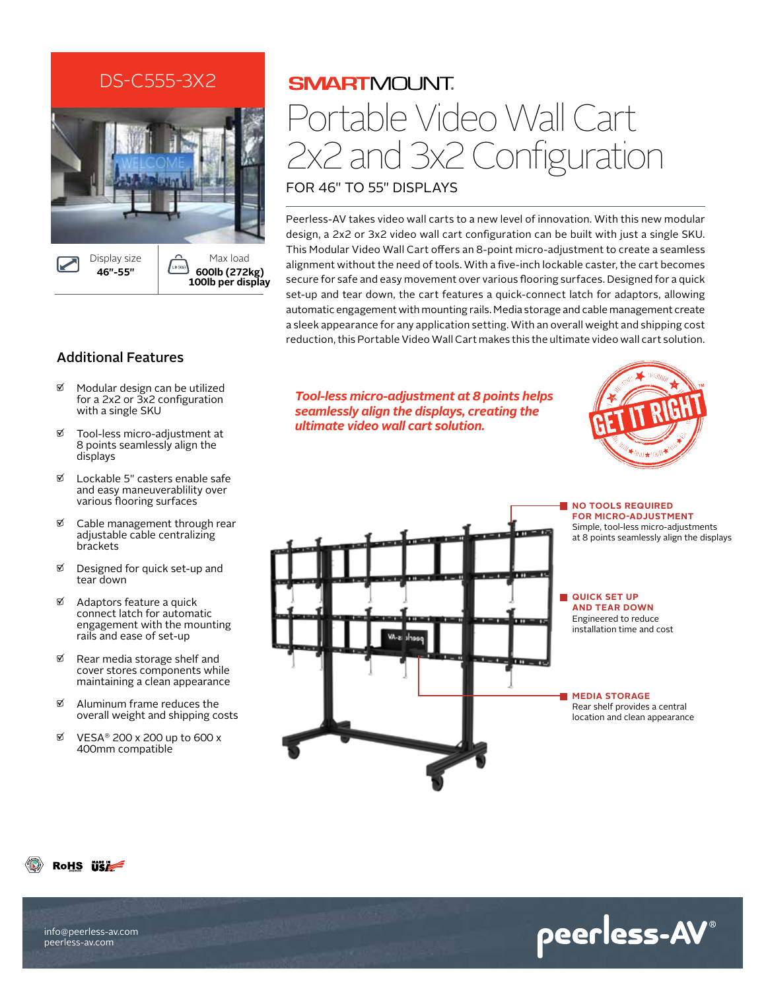## DS-C555-3X2



# **SMARTMOUNT** Portable Video Wall Cart 2x2 and 3x2 Configuration

for 46" to 55" Displays

Peerless-AV takes video wall carts to a new level of innovation. With this new modular design, a 2x2 or 3x2 video wall cart configuration can be built with just a single SKU. This Modular Video Wall Cart offers an 8-point micro-adjustment to create a seamless alignment without the need of tools. With a five-inch lockable caster, the cart becomes secure for safe and easy movement over various flooring surfaces. Designed for a quick set-up and tear down, the cart features a quick-connect latch for adaptors, allowing automatic engagement with mounting rails. Media storage and cable management create a sleek appearance for any application setting. With an overall weight and shipping cost reduction, this Portable Video Wall Cart makes this the ultimate video wall cart solution.

### Additional Features

- $\mathfrak{A}$  Modular design can be utilized for a 2x2 or 3x2 configuration with a single SKU
- Tool-less micro-adjustment at 8 points seamlessly align the displays
- $\mathfrak{A}$  Lockable 5" casters enable safe and easy maneuverablility over various flooring surfaces
- Cable management through rear adjustable cable centralizing brackets
- $\%$  Designed for quick set-up and tear down
- $\mathfrak{A}$  Adaptors feature a quick connect latch for automatic engagement with the mounting rails and ease of set-up
- $\nabla$  Rear media storage shelf and cover stores components while maintaining a clean appearance
- $\mathfrak{A}$  Aluminum frame reduces the overall weight and shipping costs
- $\%$  VESA® 200 x 200 up to 600 x 400mm compatible

*Tool-less micro-adjustment at 8 points helps seamlessly align the displays, creating the ultimate video wall cart solution.*





RoHS **ise** 

info@peerless-av.com peerless-av.com